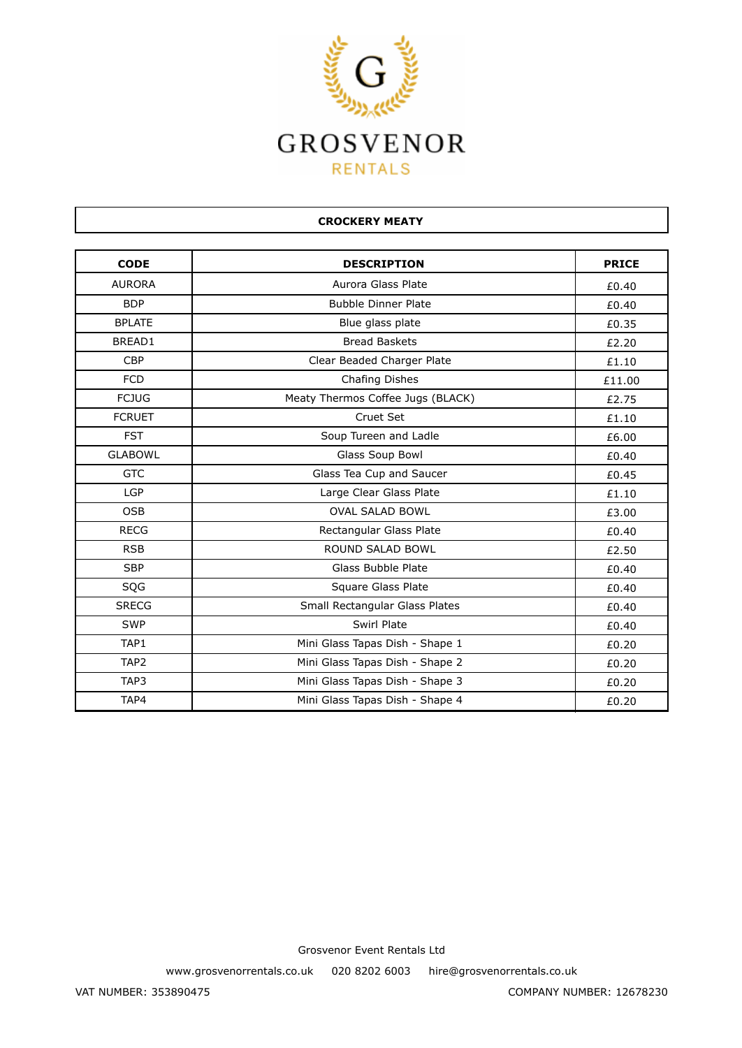

| <b>CROCKERY MEATY</b> |                                   |              |
|-----------------------|-----------------------------------|--------------|
| <b>CODE</b>           | <b>DESCRIPTION</b>                | <b>PRICE</b> |
| <b>AURORA</b>         | Aurora Glass Plate                | £0.40        |
| <b>BDP</b>            | <b>Bubble Dinner Plate</b>        | £0.40        |
| <b>BPLATE</b>         | Blue glass plate                  | £0.35        |
| BREAD1                | <b>Bread Baskets</b>              | £2.20        |
| <b>CBP</b>            | Clear Beaded Charger Plate        | £1.10        |
| <b>FCD</b>            | Chafing Dishes                    | £11.00       |
| <b>FCJUG</b>          | Meaty Thermos Coffee Jugs (BLACK) | £2.75        |
| <b>FCRUET</b>         | Cruet Set                         | £1.10        |
| <b>FST</b>            | Soup Tureen and Ladle             | £6.00        |
| <b>GLABOWL</b>        | Glass Soup Bowl                   | £0.40        |
| <b>GTC</b>            | Glass Tea Cup and Saucer          | £0.45        |
| <b>LGP</b>            | Large Clear Glass Plate           | £1.10        |
| <b>OSB</b>            | <b>OVAL SALAD BOWL</b>            | £3.00        |
| <b>RECG</b>           | Rectangular Glass Plate           | £0.40        |
| <b>RSB</b>            | <b>ROUND SALAD BOWL</b>           | £2.50        |
| <b>SBP</b>            | <b>Glass Bubble Plate</b>         | £0.40        |
| SQG                   | Square Glass Plate                | £0.40        |
| <b>SRECG</b>          | Small Rectangular Glass Plates    | £0.40        |
| <b>SWP</b>            | Swirl Plate                       | £0.40        |
| TAP1                  | Mini Glass Tapas Dish - Shape 1   | £0.20        |
| TAP <sub>2</sub>      | Mini Glass Tapas Dish - Shape 2   | £0.20        |
| TAP3                  | Mini Glass Tapas Dish - Shape 3   | £0.20        |
| TAP4                  | Mini Glass Tapas Dish - Shape 4   | £0.20        |

www.grosvenorrentals.co.uk 020 8202 6003 hire@grosvenorrentals.co.uk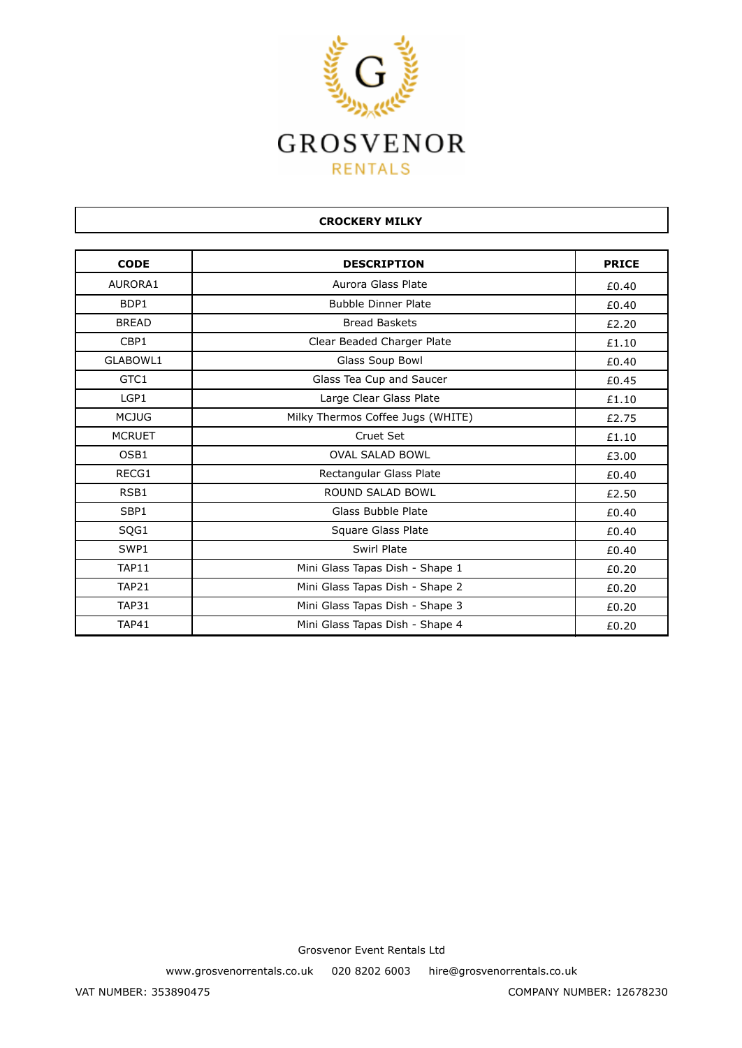

| <b>CODE</b>   | <b>DESCRIPTION</b>                | <b>PRICE</b> |
|---------------|-----------------------------------|--------------|
| AURORA1       | Aurora Glass Plate                | £0.40        |
| BDP1          | <b>Bubble Dinner Plate</b>        | £0.40        |
| <b>BREAD</b>  | <b>Bread Baskets</b>              | £2.20        |
| CBP1          | Clear Beaded Charger Plate        | £1.10        |
| GLABOWL1      | Glass Soup Bowl                   | £0.40        |
| GTC1          | Glass Tea Cup and Saucer          | £0.45        |
| LGP1          | Large Clear Glass Plate           | £1.10        |
| <b>MCJUG</b>  | Milky Thermos Coffee Jugs (WHITE) | £2.75        |
| <b>MCRUET</b> | Cruet Set                         | £1.10        |
| OSB1          | <b>OVAL SALAD BOWL</b>            | £3.00        |
| RECG1         | Rectangular Glass Plate           | £0.40        |
| RSB1          | <b>ROUND SALAD BOWL</b>           | £2.50        |
| SBP1          | Glass Bubble Plate                | £0.40        |
| SQG1          | Square Glass Plate                | £0.40        |
| SWP1          | Swirl Plate                       | £0.40        |
| TAP11         | Mini Glass Tapas Dish - Shape 1   | £0.20        |
| <b>TAP21</b>  | Mini Glass Tapas Dish - Shape 2   | £0.20        |
| <b>TAP31</b>  | Mini Glass Tapas Dish - Shape 3   | £0.20        |
| TAP41         | Mini Glass Tapas Dish - Shape 4   | £0.20        |

**CROCKERY MILKY**

Grosvenor Event Rentals Ltd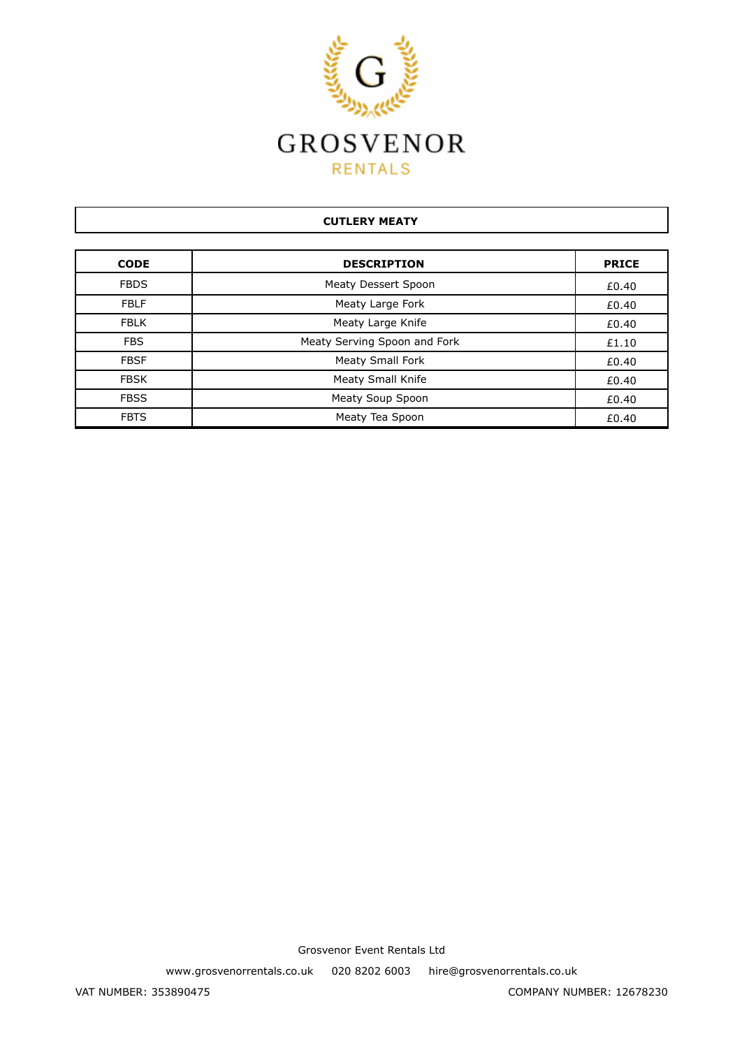

## **CUTLERY MEATY**

| <b>CODE</b> | <b>DESCRIPTION</b>           | <b>PRICE</b> |
|-------------|------------------------------|--------------|
| <b>FBDS</b> | Meaty Dessert Spoon          | £0.40        |
| <b>FBLF</b> | Meaty Large Fork             | £0.40        |
| <b>FBLK</b> | Meaty Large Knife            | £0.40        |
| <b>FBS</b>  | Meaty Serving Spoon and Fork | £1.10        |
| <b>FBSF</b> | <b>Meaty Small Fork</b>      | £0.40        |
| <b>FBSK</b> | Meaty Small Knife            | £0.40        |
| <b>FBSS</b> | Meaty Soup Spoon             | £0.40        |
| <b>FBTS</b> | Meaty Tea Spoon              | £0.40        |

Grosvenor Event Rentals Ltd

www.grosvenorrentals.co.uk 020 8202 6003 hire@grosvenorrentals.co.uk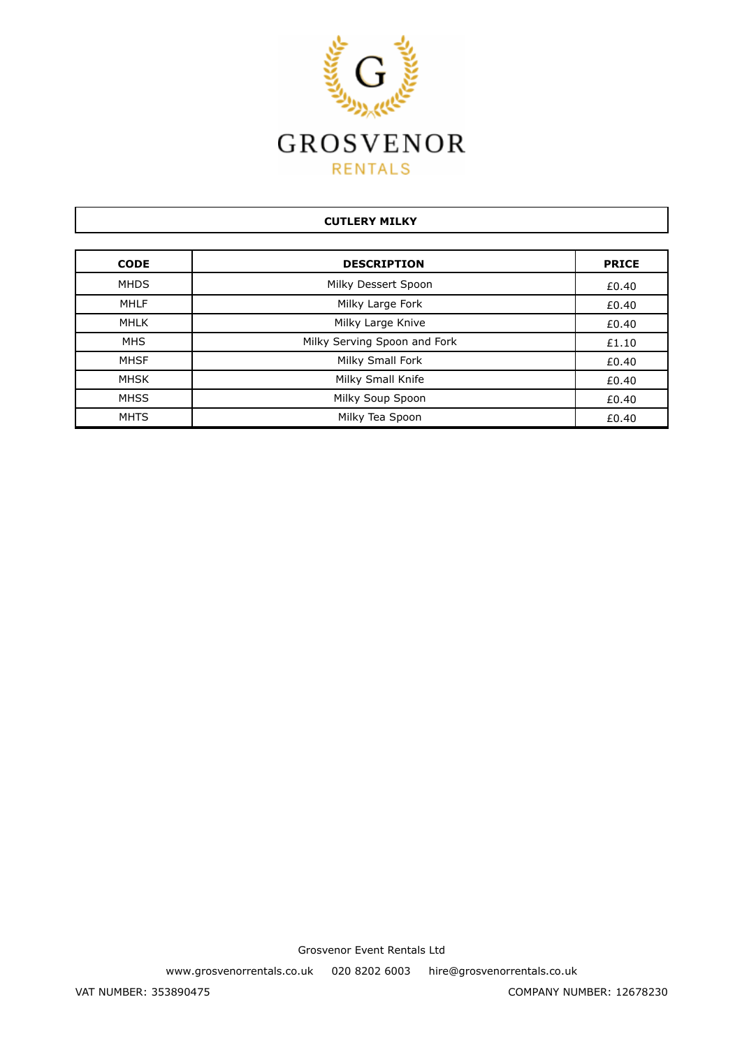

## **CUTLERY MILKY**

| <b>CODE</b> | <b>DESCRIPTION</b>           | <b>PRICE</b> |
|-------------|------------------------------|--------------|
| <b>MHDS</b> | Milky Dessert Spoon          | £0.40        |
| <b>MHLF</b> | Milky Large Fork             | £0.40        |
| MHLK        | Milky Large Knive            | £0.40        |
| <b>MHS</b>  | Milky Serving Spoon and Fork | £1.10        |
| <b>MHSF</b> | Milky Small Fork             | £0.40        |
| <b>MHSK</b> | Milky Small Knife            | £0.40        |
| <b>MHSS</b> | Milky Soup Spoon             | £0.40        |
| <b>MHTS</b> | Milky Tea Spoon              | £0.40        |

Grosvenor Event Rentals Ltd

www.grosvenorrentals.co.uk 020 8202 6003 hire@grosvenorrentals.co.uk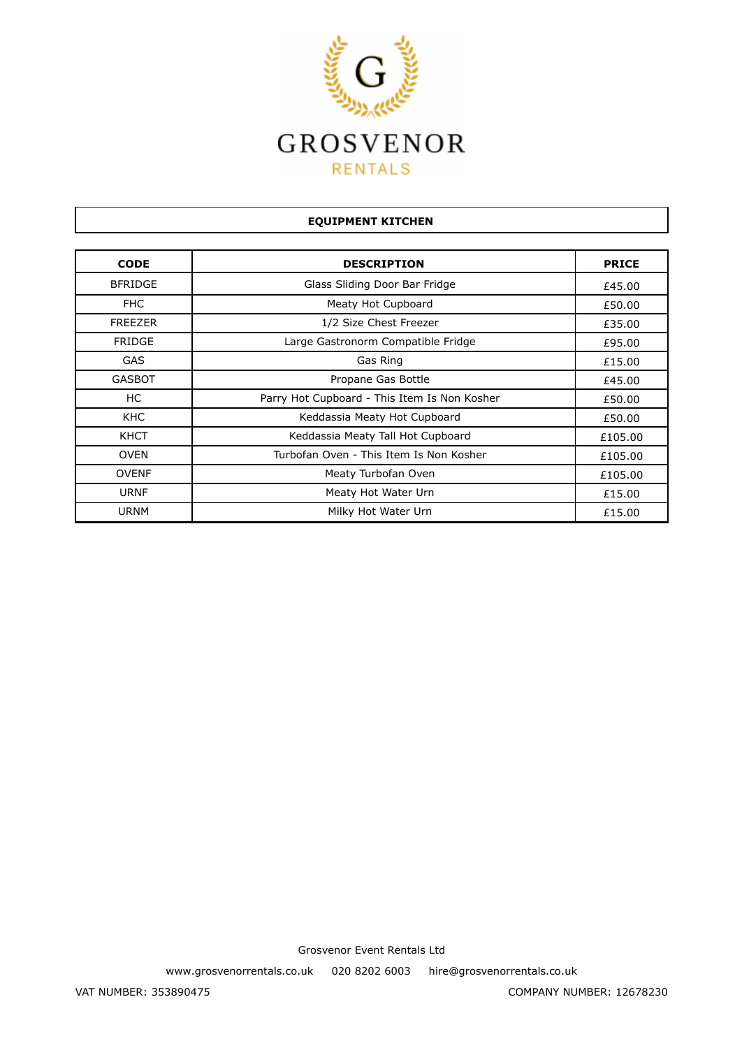

| <b>EQUIPMENT KITCHEN</b> |                                              |              |
|--------------------------|----------------------------------------------|--------------|
| <b>CODE</b>              | <b>DESCRIPTION</b>                           | <b>PRICE</b> |
| <b>BFRIDGE</b>           | Glass Sliding Door Bar Fridge                | £45.00       |
| <b>FHC</b>               | Meaty Hot Cupboard                           | £50.00       |
| <b>FREEZER</b>           | 1/2 Size Chest Freezer                       | £35.00       |
| <b>FRIDGE</b>            | Large Gastronorm Compatible Fridge           | £95.00       |
| <b>GAS</b>               | Gas Ring                                     | £15.00       |
| <b>GASBOT</b>            | Propane Gas Bottle                           | £45.00       |
| НC                       | Parry Hot Cupboard - This Item Is Non Kosher | £50.00       |
| KHC                      | Keddassia Meaty Hot Cupboard                 | £50.00       |
| KHCT                     | Keddassia Meaty Tall Hot Cupboard            | £105.00      |
| <b>OVEN</b>              | Turbofan Oven - This Item Is Non Kosher      | £105.00      |
| <b>OVENF</b>             | Meaty Turbofan Oven                          | £105.00      |
| <b>URNF</b>              | Meaty Hot Water Urn                          | £15.00       |
| <b>URNM</b>              | Milky Hot Water Urn                          | £15.00       |

www.grosvenorrentals.co.uk 020 8202 6003 hire@grosvenorrentals.co.uk

Г

ן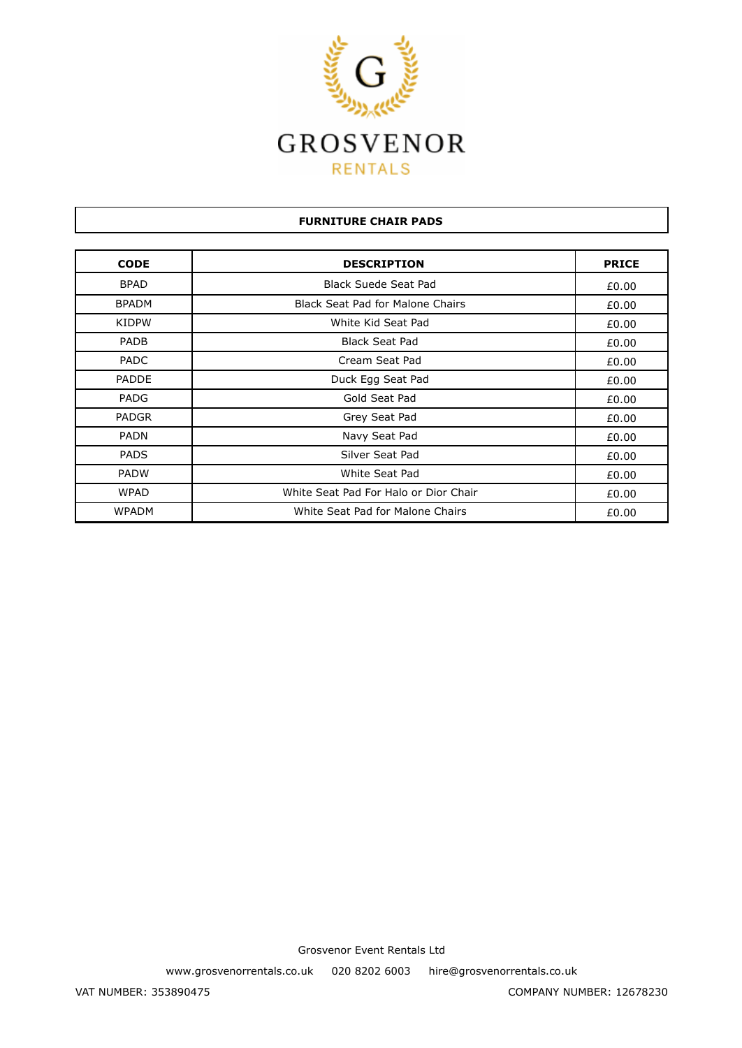

## **FURNITURE CHAIR PADS**

| <b>CODE</b>  | <b>DESCRIPTION</b>                      | <b>PRICE</b> |
|--------------|-----------------------------------------|--------------|
| <b>BPAD</b>  | <b>Black Suede Seat Pad</b>             | £0.00        |
| <b>BPADM</b> | <b>Black Seat Pad for Malone Chairs</b> | £0.00        |
| <b>KIDPW</b> | White Kid Seat Pad                      | £0.00        |
| <b>PADB</b>  | <b>Black Seat Pad</b>                   | £0.00        |
| <b>PADC</b>  | Cream Seat Pad                          | £0.00        |
| <b>PADDE</b> | Duck Egg Seat Pad                       | £0.00        |
| <b>PADG</b>  | Gold Seat Pad                           | £0.00        |
| <b>PADGR</b> | Grey Seat Pad                           | £0.00        |
| <b>PADN</b>  | Navy Seat Pad                           | £0.00        |
| <b>PADS</b>  | Silver Seat Pad                         | £0.00        |
| <b>PADW</b>  | White Seat Pad                          | £0.00        |
| <b>WPAD</b>  | White Seat Pad For Halo or Dior Chair   | £0.00        |
| <b>WPADM</b> | White Seat Pad for Malone Chairs        | £0.00        |

Grosvenor Event Rentals Ltd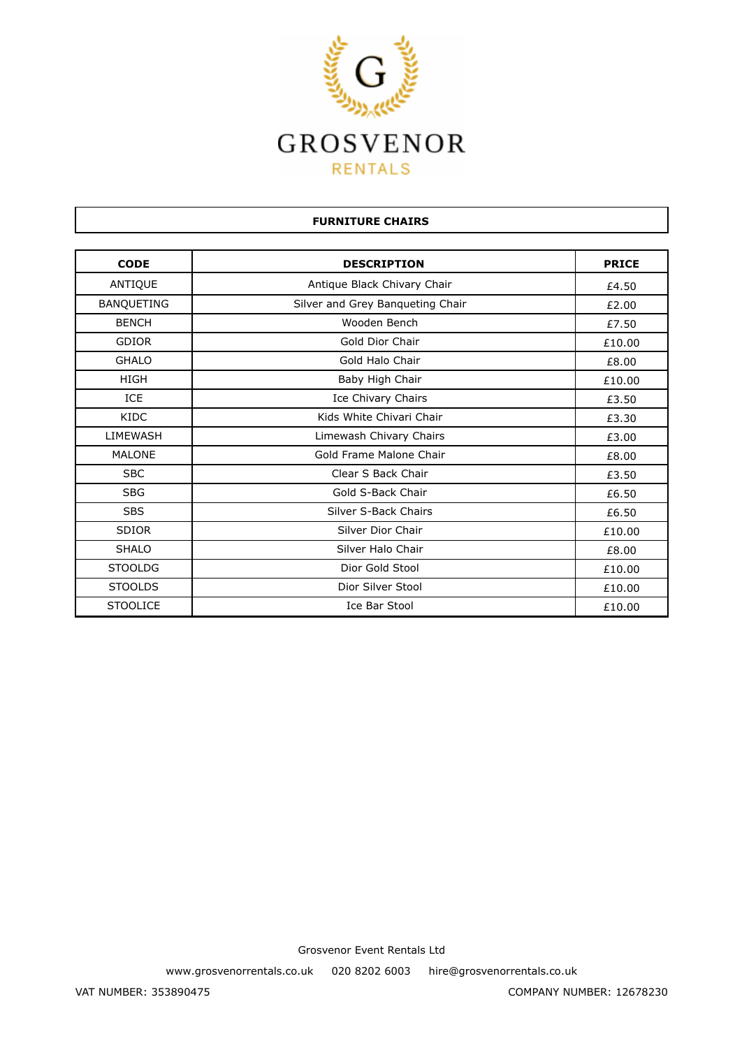

| <b>FURNITURE CHAIRS</b> |                                  |              |
|-------------------------|----------------------------------|--------------|
|                         |                                  |              |
| <b>CODE</b>             | <b>DESCRIPTION</b>               | <b>PRICE</b> |
| ANTIQUE                 | Antique Black Chivary Chair      | £4.50        |
| <b>BANQUETING</b>       | Silver and Grey Banqueting Chair | £2.00        |
| <b>BENCH</b>            | Wooden Bench                     | £7.50        |
| <b>GDIOR</b>            | Gold Dior Chair                  | £10.00       |
| <b>GHALO</b>            | Gold Halo Chair                  | £8.00        |
| <b>HIGH</b>             | Baby High Chair                  | £10.00       |
| <b>ICE</b>              | Ice Chivary Chairs               | £3.50        |
| <b>KIDC</b>             | Kids White Chivari Chair         | £3.30        |
| LIMEWASH                | Limewash Chivary Chairs          | £3.00        |
| <b>MALONE</b>           | Gold Frame Malone Chair          | £8.00        |
| <b>SBC</b>              | Clear S Back Chair               | £3.50        |
| <b>SBG</b>              | Gold S-Back Chair                | £6.50        |
| <b>SBS</b>              | Silver S-Back Chairs             | £6.50        |
| <b>SDIOR</b>            | Silver Dior Chair                | £10.00       |
| <b>SHALO</b>            | Silver Halo Chair                | £8.00        |
| <b>STOOLDG</b>          | Dior Gold Stool                  | £10.00       |
| <b>STOOLDS</b>          | Dior Silver Stool                | £10.00       |
| <b>STOOLICE</b>         | Ice Bar Stool                    | £10.00       |

www.grosvenorrentals.co.uk 020 8202 6003 hire@grosvenorrentals.co.uk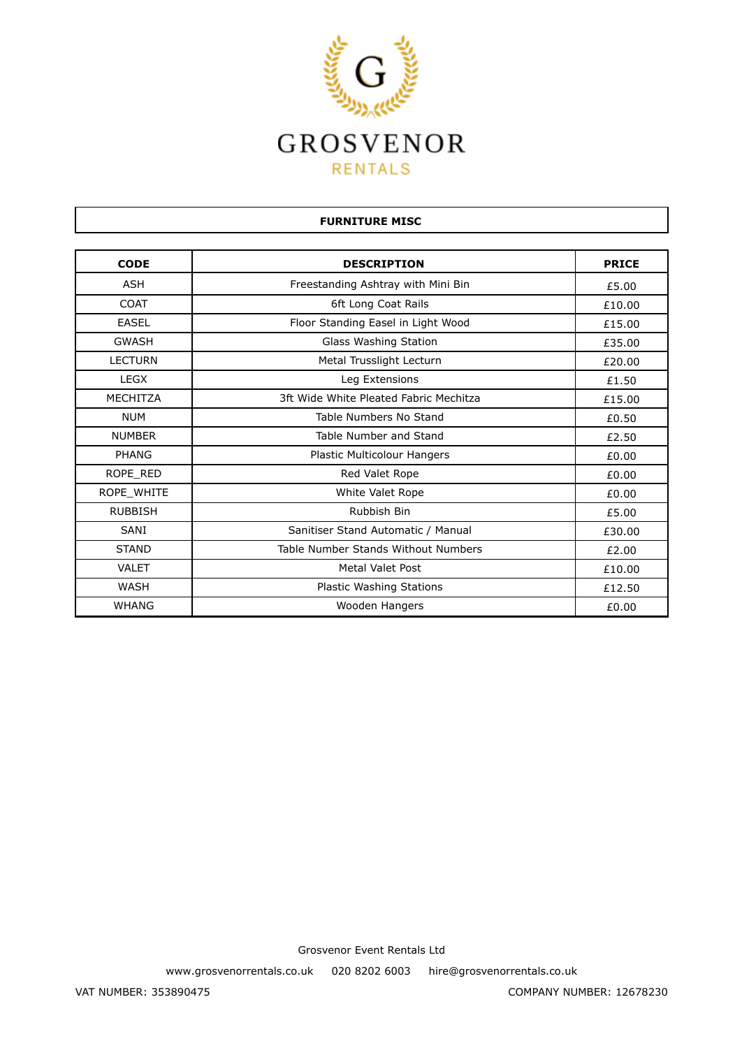

| <b>FURNITURE MISC</b> |                                        |              |
|-----------------------|----------------------------------------|--------------|
|                       |                                        |              |
| <b>CODE</b>           | <b>DESCRIPTION</b>                     | <b>PRICE</b> |
| <b>ASH</b>            | Freestanding Ashtray with Mini Bin     | £5.00        |
| <b>COAT</b>           | 6ft Long Coat Rails                    | £10.00       |
| <b>EASEL</b>          | Floor Standing Easel in Light Wood     | £15.00       |
| <b>GWASH</b>          | Glass Washing Station                  | £35.00       |
| <b>LECTURN</b>        | Metal Trusslight Lecturn               | £20.00       |
| <b>LEGX</b>           | Leg Extensions                         | £1.50        |
| <b>MECHITZA</b>       | 3ft Wide White Pleated Fabric Mechitza | £15.00       |
| <b>NUM</b>            | Table Numbers No Stand                 | £0.50        |
| <b>NUMBER</b>         | Table Number and Stand                 | £2.50        |
| PHANG                 | Plastic Multicolour Hangers            | £0.00        |
| ROPE RED              | Red Valet Rope                         | £0.00        |
| ROPE WHITE            | White Valet Rope                       | £0.00        |
| <b>RUBBISH</b>        | Rubbish Bin                            | £5.00        |
| SANI                  | Sanitiser Stand Automatic / Manual     | £30.00       |
| <b>STAND</b>          | Table Number Stands Without Numbers    | £2.00        |
| <b>VALET</b>          | <b>Metal Valet Post</b>                | £10.00       |
| WASH                  | Plastic Washing Stations               | £12.50       |
| <b>WHANG</b>          | Wooden Hangers                         | £0.00        |

www.grosvenorrentals.co.uk 020 8202 6003 hire@grosvenorrentals.co.uk

Г

VAT NUMBER: 353890475 COMPANY NUMBER: 12678230

ן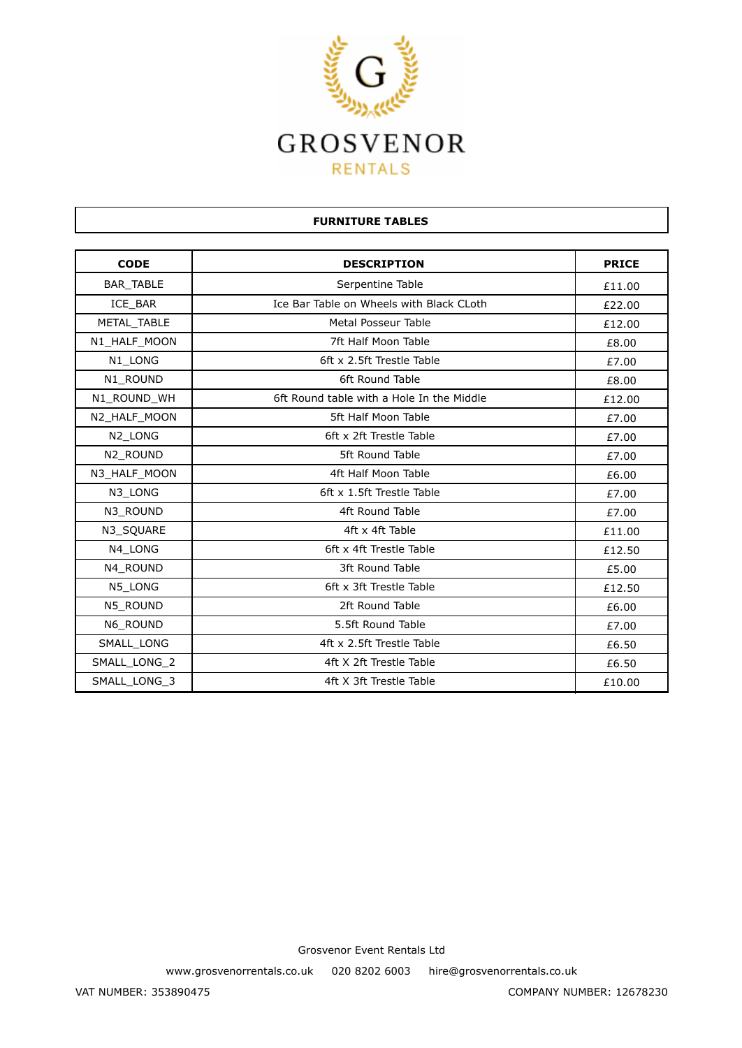

| <b>CODE</b>  | <b>DESCRIPTION</b>                        | <b>PRICE</b> |
|--------------|-------------------------------------------|--------------|
| BAR_TABLE    | Serpentine Table                          | £11.00       |
| ICE BAR      | Ice Bar Table on Wheels with Black CLoth  | £22.00       |
| METAL_TABLE  | Metal Posseur Table                       | £12.00       |
| N1_HALF_MOON | 7ft Half Moon Table                       | £8.00        |
| N1_LONG      | 6ft x 2.5ft Trestle Table                 | £7.00        |
| N1 ROUND     | 6ft Round Table                           | £8.00        |
| N1 ROUND WH  | 6ft Round table with a Hole In the Middle | £12.00       |
| N2_HALF_MOON | 5ft Half Moon Table                       | £7.00        |
| N2 LONG      | 6ft x 2ft Trestle Table                   | £7.00        |
| N2_ROUND     | 5ft Round Table                           | £7.00        |
| N3 HALF MOON | 4ft Half Moon Table                       | £6.00        |
| N3 LONG      | 6ft x 1.5ft Trestle Table                 | £7.00        |
| N3 ROUND     | 4ft Round Table                           | £7.00        |
| N3 SQUARE    | 4ft x 4ft Table                           | £11.00       |
| N4 LONG      | 6ft x 4ft Trestle Table                   | £12.50       |
| N4 ROUND     | 3ft Round Table                           | £5.00        |
| N5_LONG      | 6ft x 3ft Trestle Table                   | £12.50       |
| N5 ROUND     | 2ft Round Table                           | £6.00        |
| N6 ROUND     | 5.5ft Round Table                         | £7.00        |
| SMALL_LONG   | 4ft x 2.5ft Trestle Table                 | £6.50        |
| SMALL_LONG_2 | 4ft X 2ft Trestle Table                   | £6.50        |
| SMALL LONG 3 | 4ft X 3ft Trestle Table                   | £10.00       |

**FURNITURE TABLES**

Grosvenor Event Rentals Ltd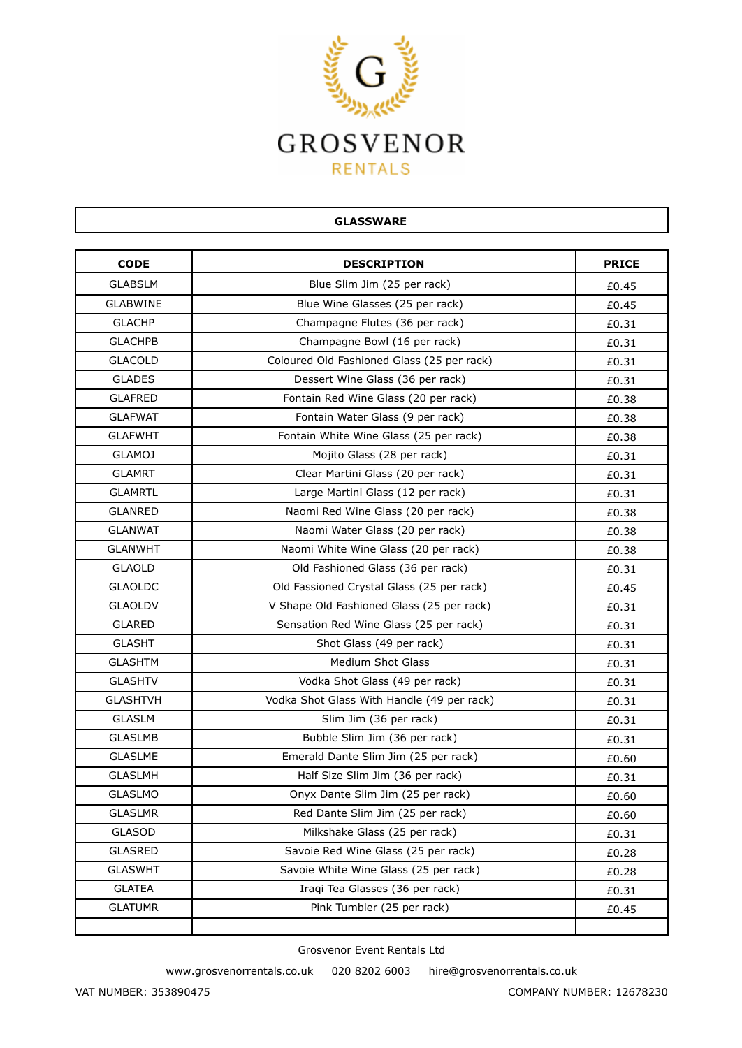

| <b>GLASSWARE</b> |                                            |              |
|------------------|--------------------------------------------|--------------|
| <b>CODE</b>      | <b>DESCRIPTION</b>                         | <b>PRICE</b> |
| <b>GLABSLM</b>   | Blue Slim Jim (25 per rack)                | £0.45        |
| <b>GLABWINE</b>  | Blue Wine Glasses (25 per rack)            | £0.45        |
| <b>GLACHP</b>    | Champagne Flutes (36 per rack)             | £0.31        |
| <b>GLACHPB</b>   | Champagne Bowl (16 per rack)               | £0.31        |
| <b>GLACOLD</b>   | Coloured Old Fashioned Glass (25 per rack) | £0.31        |
| <b>GLADES</b>    | Dessert Wine Glass (36 per rack)           | £0.31        |
| <b>GLAFRED</b>   | Fontain Red Wine Glass (20 per rack)       | £0.38        |
| <b>GLAFWAT</b>   | Fontain Water Glass (9 per rack)           | £0.38        |
| <b>GLAFWHT</b>   | Fontain White Wine Glass (25 per rack)     | £0.38        |
| <b>GLAMOJ</b>    | Mojito Glass (28 per rack)                 | £0.31        |
| <b>GLAMRT</b>    | Clear Martini Glass (20 per rack)          | £0.31        |
| <b>GLAMRTL</b>   | Large Martini Glass (12 per rack)          | £0.31        |
| <b>GLANRED</b>   | Naomi Red Wine Glass (20 per rack)         | £0.38        |
| <b>GLANWAT</b>   | Naomi Water Glass (20 per rack)            | £0.38        |
| <b>GLANWHT</b>   | Naomi White Wine Glass (20 per rack)       | £0.38        |
| <b>GLAOLD</b>    | Old Fashioned Glass (36 per rack)          | £0.31        |
| <b>GLAOLDC</b>   | Old Fassioned Crystal Glass (25 per rack)  | £0.45        |
| <b>GLAOLDV</b>   | V Shape Old Fashioned Glass (25 per rack)  | £0.31        |
| <b>GLARED</b>    | Sensation Red Wine Glass (25 per rack)     | £0.31        |
| <b>GLASHT</b>    | Shot Glass (49 per rack)                   | £0.31        |
| <b>GLASHTM</b>   | <b>Medium Shot Glass</b>                   | £0.31        |
| <b>GLASHTV</b>   | Vodka Shot Glass (49 per rack)             | £0.31        |
| <b>GLASHTVH</b>  | Vodka Shot Glass With Handle (49 per rack) | £0.31        |
| <b>GLASLM</b>    | Slim Jim (36 per rack)                     | £0.31        |
| <b>GLASLMB</b>   | Bubble Slim Jim (36 per rack)              | £0.31        |
| <b>GLASLME</b>   | Emerald Dante Slim Jim (25 per rack)       | £0.60        |
| <b>GLASLMH</b>   | Half Size Slim Jim (36 per rack)           | £0.31        |
| <b>GLASLMO</b>   | Onyx Dante Slim Jim (25 per rack)          | £0.60        |
| <b>GLASLMR</b>   | Red Dante Slim Jim (25 per rack)           | £0.60        |
| GLASOD           | Milkshake Glass (25 per rack)              | £0.31        |
| <b>GLASRED</b>   | Savoie Red Wine Glass (25 per rack)        | £0.28        |
| <b>GLASWHT</b>   | Savoie White Wine Glass (25 per rack)      | £0.28        |
| <b>GLATEA</b>    | Iraqi Tea Glasses (36 per rack)            | £0.31        |
| <b>GLATUMR</b>   | Pink Tumbler (25 per rack)                 | £0.45        |

www.grosvenorrentals.co.uk 020 8202 6003 hire@grosvenorrentals.co.uk

Г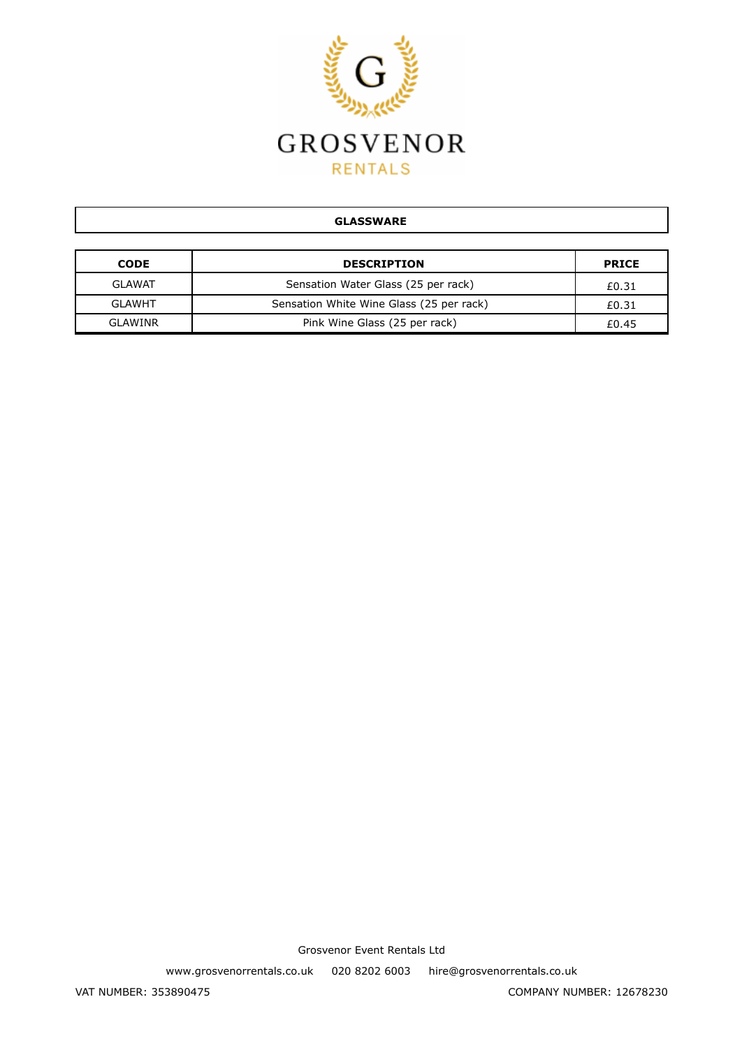

#### **GLASSWARE**

| <b>CODE</b>   | <b>DESCRIPTION</b>                       | <b>PRICE</b> |
|---------------|------------------------------------------|--------------|
| <b>GLAWAT</b> | Sensation Water Glass (25 per rack)      | £0.31        |
| <b>GLAWHT</b> | Sensation White Wine Glass (25 per rack) | £0.31        |
| GLAWINR       | Pink Wine Glass (25 per rack)            | £0.45        |

Grosvenor Event Rentals Ltd

www.grosvenorrentals.co.uk 020 8202 6003 hire@grosvenorrentals.co.uk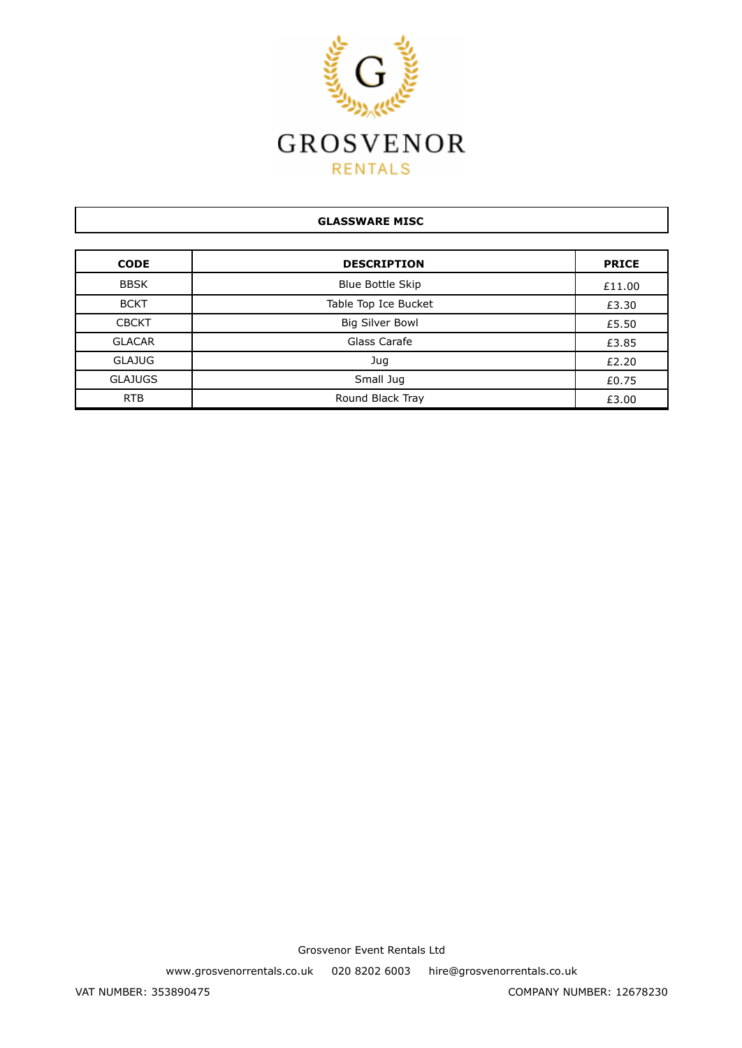

# **GLASSWARE MISC CODE DESCRIPTION PRICE** BBSK Blue Bottle Skip Blue Bottle Skip BCKT Rable Top Ice Bucket **Fig. 10** E3.30 CBCKT Big Silver Bowl E5.50 GLACAR Glass Carafe E3.85  $J$ ug  $\qquad \qquad$   $\qquad$   $\qquad$   $\qquad$   $\qquad$   $\qquad$   $\qquad$   $\qquad$   $\qquad$   $\qquad$   $\qquad$   $\qquad$   $\qquad$   $\qquad$   $\qquad$   $\qquad$   $\qquad$   $\qquad$   $\qquad$   $\qquad$   $\qquad$   $\qquad$   $\qquad$   $\qquad$   $\qquad$   $\qquad$   $\qquad$   $\qquad$   $\qquad$   $\qquad$   $\qquad$   $\qquad$   $\qquad$   $\qquad$   $\qquad$   $\$ GLAJUGS  $\begin{bmatrix} 6 & 1 \end{bmatrix}$   $\begin{bmatrix} 6 & 2 \end{bmatrix}$   $\begin{bmatrix} 6 & 75 \end{bmatrix}$ RTB Round Black Tray Round Black Tray 23.00

Grosvenor Event Rentals Ltd

www.grosvenorrentals.co.uk 020 8202 6003 hire@grosvenorrentals.co.uk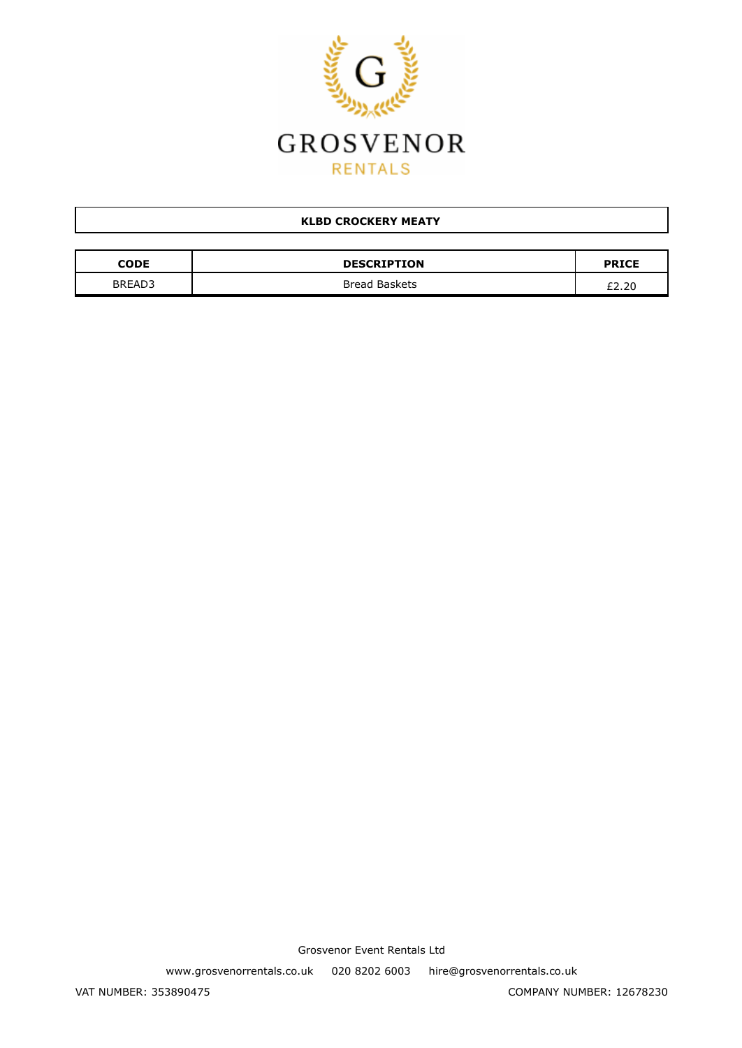

## **KLBD CROCKERY MEATY**

| CODE   | <b>DESCRIPTION</b> | <b>PRICE</b> |
|--------|--------------------|--------------|
| BREAD3 | Bread Baskets      | £2.20        |

Grosvenor Event Rentals Ltd

www.grosvenorrentals.co.uk 020 8202 6003 hire@grosvenorrentals.co.uk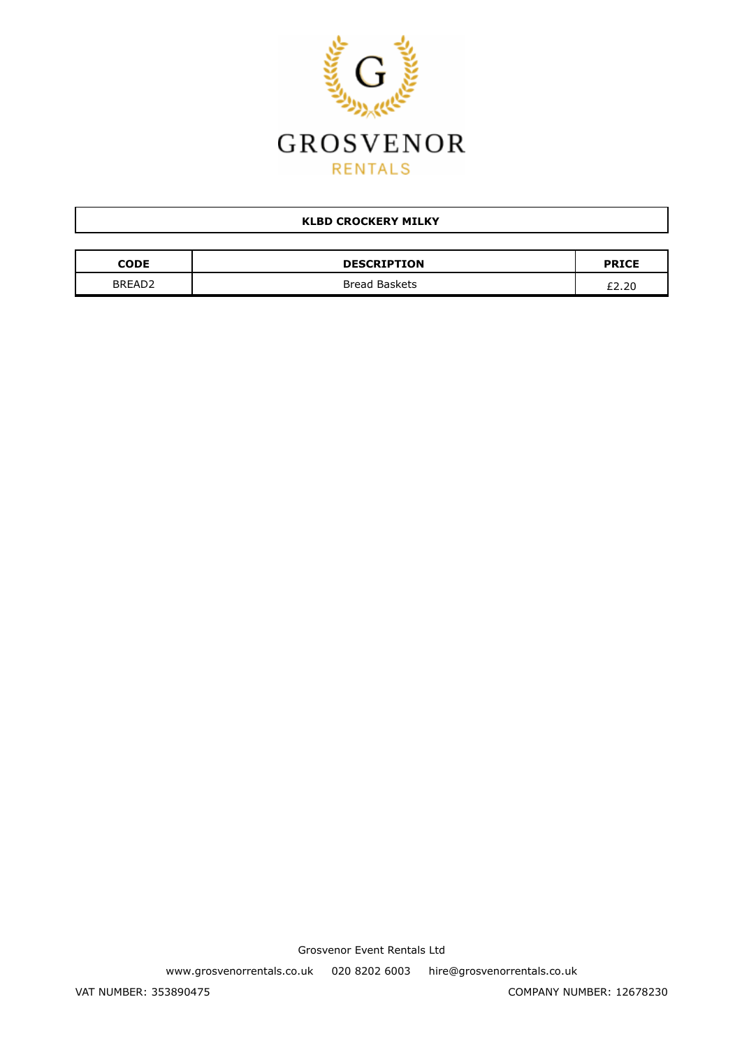

## **KLBD CROCKERY MILKY**

| CODE               | <b>DESCRIPTION</b> | <b>PRICE</b> |
|--------------------|--------------------|--------------|
| BREAD <sub>2</sub> | Bread Baskets      | £2.20        |

Grosvenor Event Rentals Ltd

www.grosvenorrentals.co.uk 020 8202 6003 hire@grosvenorrentals.co.uk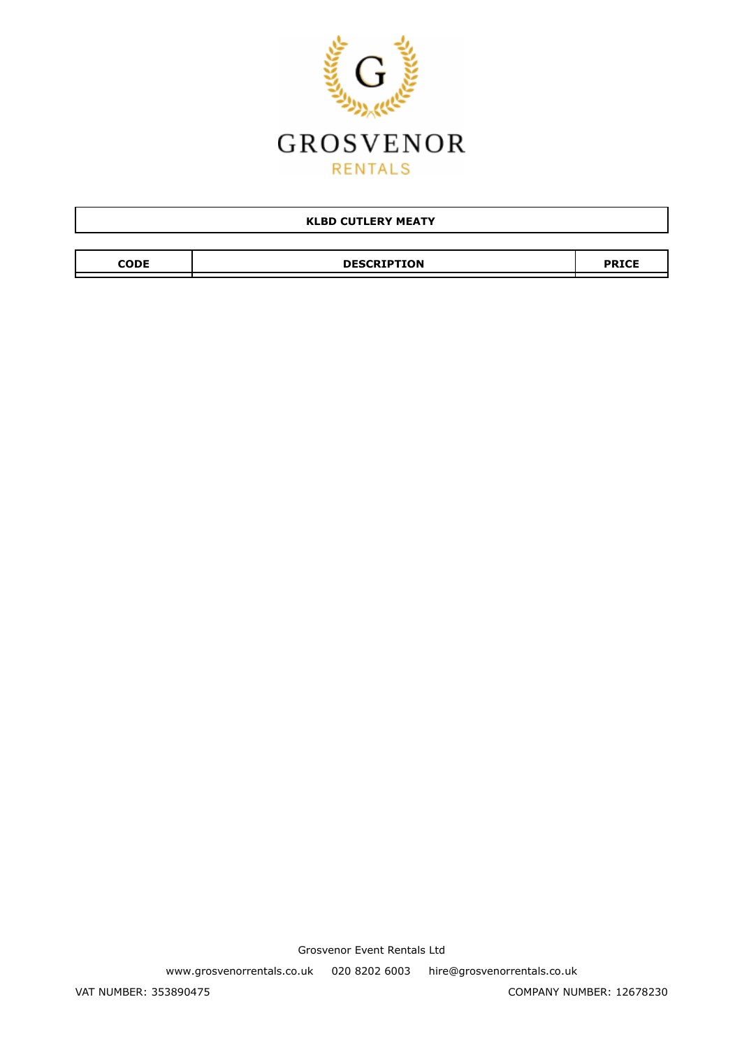

| <b>KLBD CUTLERY MEATY</b> |                    |              |
|---------------------------|--------------------|--------------|
|                           |                    |              |
| <b>CODE</b>               | <b>DESCRIPTION</b> | <b>PRICE</b> |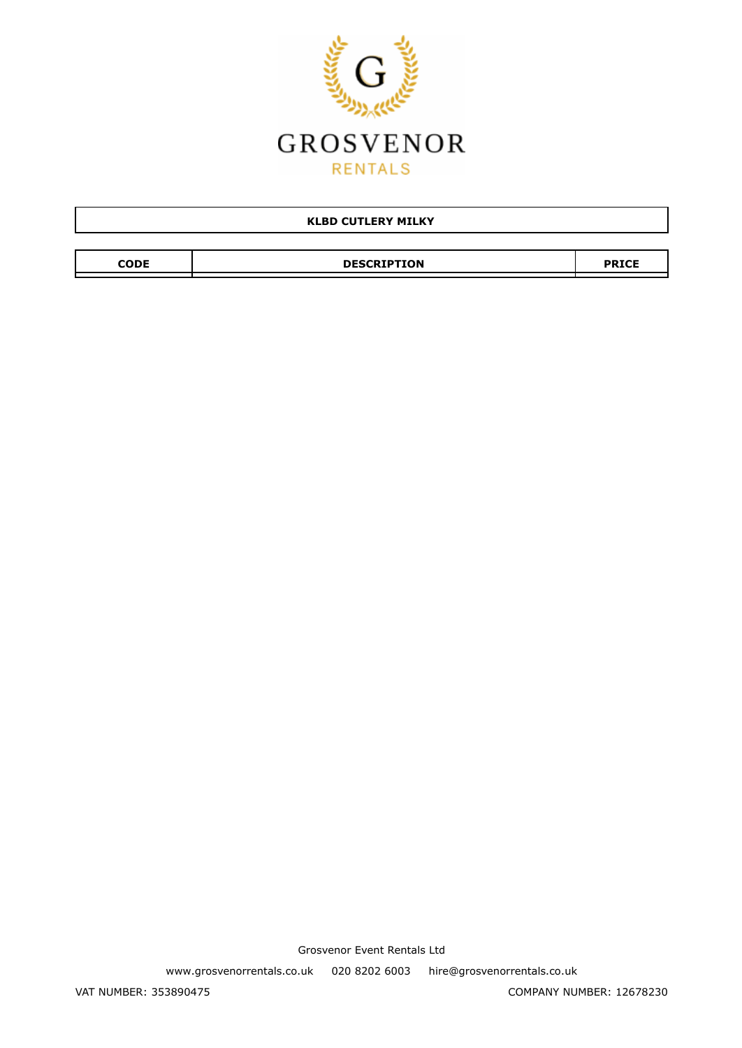

| <b>KLBD CUTLERY MILKY</b> |                    |              |  |
|---------------------------|--------------------|--------------|--|
|                           |                    |              |  |
| <b>CODE</b>               | <b>DESCRIPTION</b> | <b>PRICE</b> |  |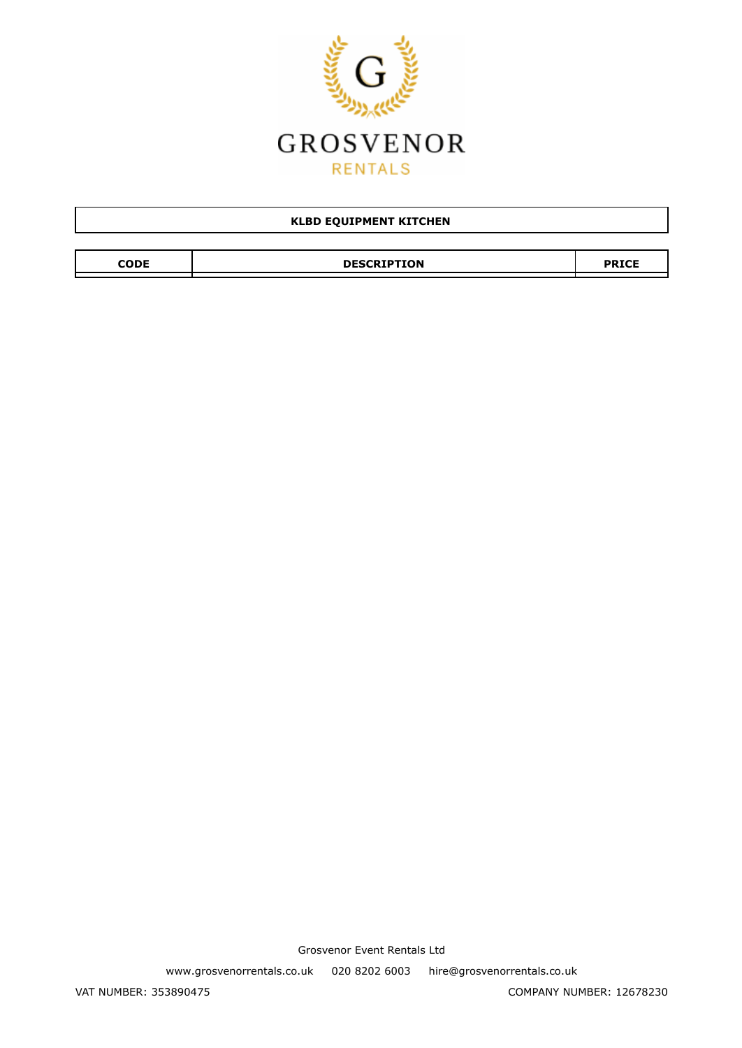

| <b>KLBD EQUIPMENT KITCHEN</b> |                    |              |  |
|-------------------------------|--------------------|--------------|--|
|                               |                    |              |  |
| CODE                          | <b>DESCRIPTION</b> | <b>PRICE</b> |  |